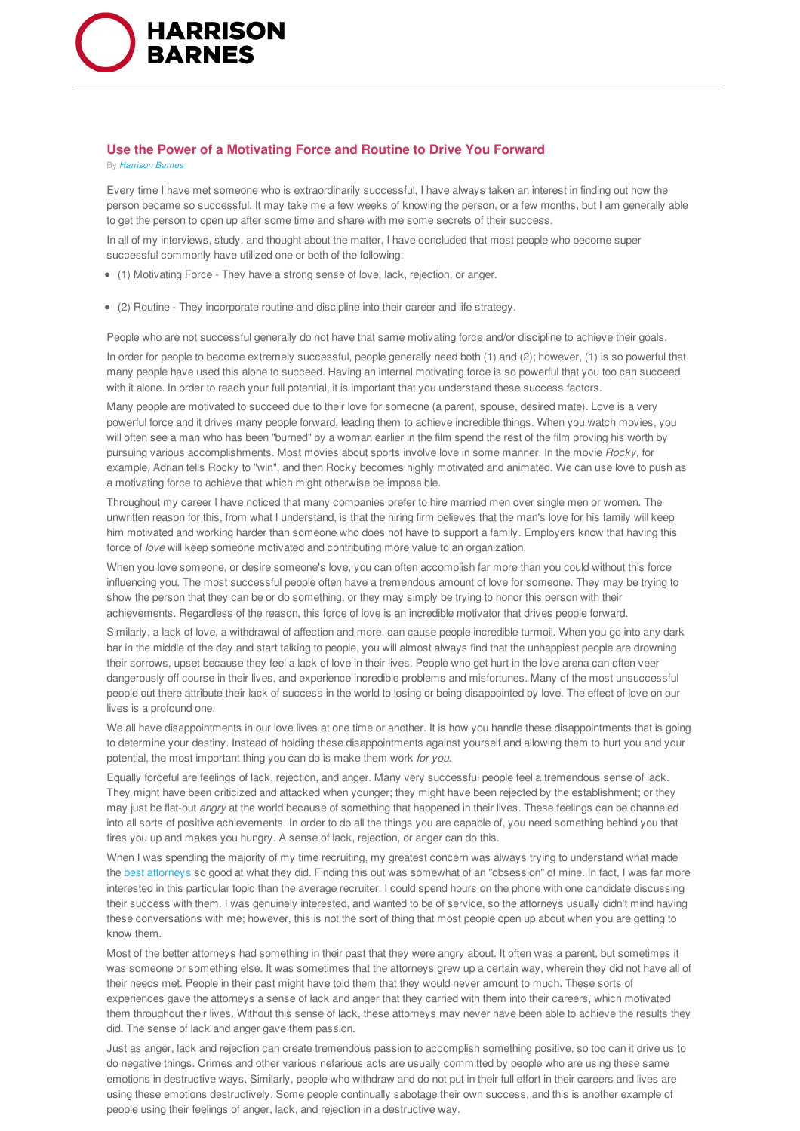

## **Use the Power of a Motivating Force and Routine to Drive You Forward**

By *Harrison Barnes*

Every time I have met someone who is extraordinarily successful, I have always taken an interest in finding out how the person became so successful. It may take me a few weeks of knowing the person, or a few months, but I am generally able to get the person to open up after some time and share with me some secrets of their success.

In all of my interviews, study, and thought about the matter, I have concluded that most people who become super successful commonly have utilized one or both of the following:

- (1) Motivating Force They have a strong sense of love, lack, rejection, or anger.
- (2) Routine They incorporate routine and discipline into their career and life strategy.

People who are not successful generally do not have that same motivating force and/or discipline to achieve their goals.

In order for people to become extremely successful, people generally need both (1) and (2); however, (1) is so powerful that many people have used this alone to succeed. Having an internal motivating force is so powerful that you too can succeed with it alone. In order to reach your full potential, it is important that you understand these success factors.

Many people are motivated to succeed due to their love for someone (a parent, spouse, desired mate). Love is a very powerful force and it drives many people forward, leading them to achieve incredible things. When you watch movies, you will often see a man who has been "burned" by a woman earlier in the film spend the rest of the film proving his worth by pursuing various accomplishments. Most movies about sports involve love in some manner. In the movie *Rocky*, for example, Adrian tells Rocky to "win", and then Rocky becomes highly motivated and animated. We can use love to push as a motivating force to achieve that which might otherwise be impossible.

Throughout my career I have noticed that many companies prefer to hire married men over single men or women. The unwritten reason for this, from what I understand, is that the hiring firm believes that the man's love for his family will keep him motivated and working harder than someone who does not have to support a family. Employers know that having this force of *love* will keep someone motivated and contributing more value to an organization.

When you love someone, or desire someone's love, you can often accomplish far more than you could without this force influencing you. The most successful people often have a tremendous amount of love for someone. They may be trying to show the person that they can be or do something, or they may simply be trying to honor this person with their achievements. Regardless of the reason, this force of love is an incredible motivator that drives people forward.

Similarly, a lack of love, a withdrawal of affection and more, can cause people incredible turmoil. When you go into any dark bar in the middle of the day and start talking to people, you will almost always find that the unhappiest people are drowning their sorrows, upset because they feel a lack of love in their lives. People who get hurt in the love arena can often veer dangerously off course in their lives, and experience incredible problems and misfortunes. Many of the most unsuccessful people out there attribute their lack of success in the world to losing or being disappointed by love. The effect of love on our lives is a profound one.

We all have disappointments in our love lives at one time or another. It is how you handle these disappointments that is going to determine your destiny. Instead of holding these disappointments against yourself and allowing them to hurt you and your potential, the most important thing you can do is make them work *for you*.

Equally forceful are feelings of lack, rejection, and anger. Many very successful people feel a tremendous sense of lack. They might have been criticized and attacked when younger; they might have been rejected by the establishment; or they may just be flat-out *angry* at the world because of something that happened in their lives. These feelings can be channeled into all sorts of positive achievements. In order to do all the things you are capable of, you need something behind you that fires you up and makes you hungry. A sense of lack, rejection, or anger can do this.

When I was spending the majority of my time recruiting, my greatest concern was always trying to understand what made the best attorneys so good at what they did. Finding this out was somewhat of an "obsession" of mine. In fact, I was far more interested in this particular topic than the average recruiter. I could spend hours on the phone with one candidate discussing their success with them. I was genuinely interested, and wanted to be of service, so the attorneys usually didn't mind having these conversations with me; however, this is not the sort of thing that most people open up about when you are getting to know them.

Most of the better attorneys had something in their past that they were angry about. It often was a parent, but sometimes it was someone or something else. It was sometimes that the attorneys grew up a certain way, wherein they did not have all of their needs met. People in their past might have told them that they would never amount to much. These sorts of experiences gave the attorneys a sense of lack and anger that they carried with them into their careers, which motivated them throughout their lives. Without this sense of lack, these attorneys may never have been able to achieve the results they did. The sense of lack and anger gave them passion.

Just as anger, lack and rejection can create tremendous passion to accomplish something positive, so too can it drive us to do negative things. Crimes and other various nefarious acts are usually committed by people who are using these same emotions in destructive ways. Similarly, people who withdraw and do not put in their full effort in their careers and lives are using these emotions destructively. Some people continually sabotage their own success, and this is another example of people using their feelings of anger, lack, and rejection in a destructive way.